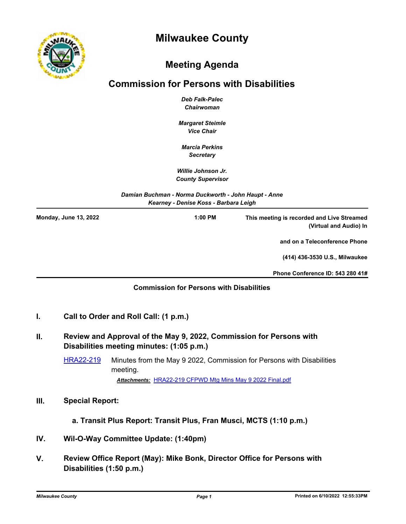



## **Meeting Agenda**

# **Commission for Persons with Disabilities**

*Deb Falk-Palec Chairwoman*

*Margaret Steimle Vice Chair*

*Marcia Perkins Secretary*

*Willie Johnson Jr. County Supervisor*

*Damian Buchman - Norma Duckworth - John Haupt - Anne Kearney - Denise Koss - Barbara Leigh*

| <b>Monday, June 13, 2022</b> | $1:00$ PM | This meeting is recorded and Live Streamed<br>(Virtual and Audio) In |
|------------------------------|-----------|----------------------------------------------------------------------|
|                              |           | and on a Teleconference Phone                                        |
|                              |           | (414) 436-3530 U.S., Milwaukee                                       |
|                              |           | Phone Conference ID: 543 280 41#                                     |

### **Commission for Persons with Disabilities**

### **I. Call to Order and Roll Call: (1 p.m.)**

### **II. Review and Approval of the May 9, 2022, Commission for Persons with Disabilities meeting minutes: (1:05 p.m.)**

[HRA22-219](http://milwaukeecounty.legistar.com/gateway.aspx?m=l&id=/matter.aspx?key=12467) Minutes from the May 9 2022, Commission for Persons with Disabilities meeting. *Attachments:* [HRA22-219 CFPWD Mtg Mins May 9 2022 Final.pdf](http://MilwaukeeCounty.legistar.com/gateway.aspx?M=F&ID=b205615d-19a4-43c0-9d82-da3c96646575.pdf)

#### **III. Special Report:**

 **a. Transit Plus Report: Transit Plus, Fran Musci, MCTS (1:10 p.m.)**

- **IV. Wil-O-Way Committee Update: (1:40pm)**
- **V. Review Office Report (May): Mike Bonk, Director Office for Persons with Disabilities (1:50 p.m.)**